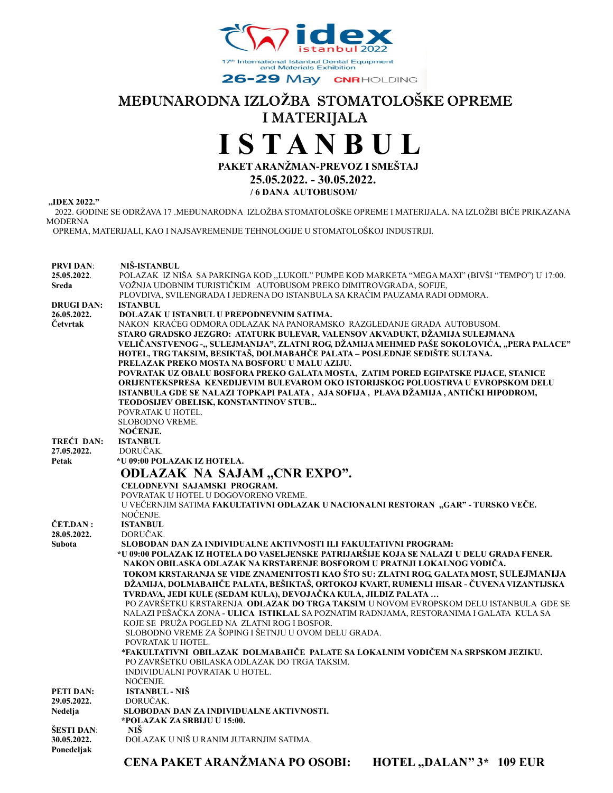

26-29 May CNRHOLDING

# MEĐUNARODNA IZLOŽBA STOMATOLOŠKE OPREME I MATERIJALA

# I S T A N B U L

PAKET ARANŽMAN-PREVOZ I SMEŠTAJ

 25.05.2022. - 30.05.2022. / 6 DANA AUTOBUSOM/

,,IDEX 2022."

 2022. GODINE SE ODRŽAVA 17 .MEĐUNARODNA IZLOŽBA STOMATOLOŠKE OPREME I MATERIJALA. NA IZLOŽBI BIĆE PRIKAZANA MODERNA

OPREMA, MATERIJALI, KAO I NAJSAVREMENIJE TEHNOLOGIJE U STOMATOLOŠKOJ INDUSTRIJI.

| <b>PRVI DAN:</b>          | NIŠ-ISTANBUL                                                                                                                                                                                                                                        |
|---------------------------|-----------------------------------------------------------------------------------------------------------------------------------------------------------------------------------------------------------------------------------------------------|
| 25.05.2022.<br>Sreda      | POLAZAK IZ NIŠA SA PARKINGA KOD "LUKOIL" PUMPE KOD MARKETA "MEGA MAXI" (BIVŠI "TEMPO") U 17:00.<br>VOŽNJA UDOBNIM TURISTIČKIM AUTOBUSOM PREKO DIMITROVGRADA, SOFIJE,<br>PLOVDIVA, SVILENGRADA I JEDRENA DO ISTANBULA SA KRAĆIM PAUZAMA RADI ODMORA. |
| <b>DRUGI DAN:</b>         | <b>ISTANBUL</b>                                                                                                                                                                                                                                     |
| 26.05.2022.               | DOLAZAK U ISTANBUL U PREPODNEVNIM SATIMA.                                                                                                                                                                                                           |
| Četvrtak                  | NAKON KRAĆEG ODMORA ODLAZAK NA PANORAMSKO RAZGLEDANJE GRADA AUTOBUSOM.                                                                                                                                                                              |
|                           | STARO GRADSKO JEZGRO: ATATURK BULEVAR, VALENSOV AKVADUKT, DŽAMIJA SULEJMANA                                                                                                                                                                         |
|                           | VELIČANSTVENOG -,, SULEJMANIJA", ZLATNI ROG, DŽAMIJA MEHMED PAŠE SOKOLOVIĆA, "PERA PALACE"                                                                                                                                                          |
|                           | HOTEL, TRG TAKSIM, BESIKTAŠ, DOLMABAHČE PALATA – POSLEDNJE SEDIŠTE SULTANA.<br>PRELAZAK PREKO MOSTA NA BOSFORU U MALU AZIJU.                                                                                                                        |
|                           | POVRATAK UZ OBALU BOSFORA PREKO GALATA MOSTA, ZATIM PORED EGIPATSKE PIJACE, STANICE                                                                                                                                                                 |
|                           | ORIJENTEKSPRESA KENEDIJEVIM BULEVAROM OKO ISTORIJSKOG POLUOSTRVA U EVROPSKOM DELU                                                                                                                                                                   |
|                           | ISTANBULA GDE SE NALAZI TOPKAPI PALATA, AJA SOFIJA, PLAVA DŽAMIJA, ANTIČKI HIPODROM,                                                                                                                                                                |
|                           | TEODOSIJEV OBELISK, KONSTANTINOV STUB                                                                                                                                                                                                               |
|                           | POVRATAK U HOTEL.                                                                                                                                                                                                                                   |
|                           | <b>SLOBODNO VREME.</b>                                                                                                                                                                                                                              |
|                           | NOĆENJE.                                                                                                                                                                                                                                            |
| TREĆI DAN:<br>27.05.2022. | <b>ISTANBUL</b><br>DORUČAK.                                                                                                                                                                                                                         |
| Petak                     | *U 09:00 POLAZAK IZ HOTELA.                                                                                                                                                                                                                         |
|                           | ODLAZAK NA SAJAM "CNR EXPO".                                                                                                                                                                                                                        |
|                           |                                                                                                                                                                                                                                                     |
|                           | CELODNEVNI SAJAMSKI PROGRAM.<br>POVRATAK U HOTEL U DOGOVORENO VREME.                                                                                                                                                                                |
|                           | U VEČERNJIM SATIMA FAKULTATIVNI ODLAZAK U NACIONALNI RESTORAN "GAR" - TURSKO VEČE.                                                                                                                                                                  |
|                           | NOĆENJE.                                                                                                                                                                                                                                            |
| ČET.DAN:                  | <b>ISTANBUL</b>                                                                                                                                                                                                                                     |
| 28.05.2022.               | DORUČAK.                                                                                                                                                                                                                                            |
| <b>Subota</b>             | SLOBODAN DAN ZA INDIVIDUALNE AKTIVNOSTI ILI FAKULTATIVNI PROGRAM:                                                                                                                                                                                   |
|                           | *U 09:00 POLAZAK IZ HOTELA DO VASELJENSKE PATRIJARŠIJE KOJA SE NALAZI U DELU GRADA FENER.                                                                                                                                                           |
|                           | NAKON OBILASKA ODLAZAK NA KRSTARENJE BOSFOROM U PRATNJI LOKALNOG VODIČA.                                                                                                                                                                            |
|                           | TOKOM KRSTARANJA SE VIDE ZNAMENITOSTI KAO ŠTO SU: ZLATNI ROG, GALATA MOST, SULEJMANIJA<br>DŽAMIJA, DOLMABAHČE PALATA, BEŠIKTAŠ, ORTOKOJ KVART, RUMENLI HISAR - ČUVENA VIZANTIJSKA                                                                   |
|                           | TVRĐAVA, JEDI KULE (SEDAM KULA), DEVOJAČKA KULA, JILDIZ PALATA                                                                                                                                                                                      |
|                           | PO ZAVRŠETKU KRSTARENJA ODLAŽAK DO TRGA TAKSIM U NOVOM EVROPSKOM DELU ISTANBULA GDE SE                                                                                                                                                              |
|                           | NALAZI PEŠAČKA ZONA - ULICA  ISTIKLAL SA POZNATIM RADNJAMA, RESTORANIMA I GALATA  KULA SA                                                                                                                                                           |
|                           | KOJE SE PRUŽA POGLED NA ZLATNI ROG I BOSFOR.                                                                                                                                                                                                        |
|                           | SLOBODNO VREME ZA ŠOPING I ŠETNJU U OVOM DELU GRADA.                                                                                                                                                                                                |
|                           | POVRATAK U HOTEL.                                                                                                                                                                                                                                   |
|                           | *FAKULTATIVNI OBILAZAK DOLMABAHČE PALATE SA LOKALNIM VODIČEM NA SRPSKOM JEZIKU.                                                                                                                                                                     |
|                           | PO ZAVRŠETKU OBILASKA ODLAZAK DO TRGA TAKSIM.                                                                                                                                                                                                       |
|                           | INDIVIDUALNI POVRATAK U HOTEL.<br>NOĆENJE.                                                                                                                                                                                                          |
| PETI DAN:                 | <b>ISTANBUL - NIŠ</b>                                                                                                                                                                                                                               |
| 29.05.2022.               | DORUČAK.                                                                                                                                                                                                                                            |
| Nedelja                   | SLOBODAN DAN ZA INDIVIDUALNE AKTIVNOSTI.                                                                                                                                                                                                            |
|                           | *POLAZAK ZA SRBIJU U 15:00.                                                                                                                                                                                                                         |
| ŠESTI DAN:                | NIŠ.                                                                                                                                                                                                                                                |
| 30.05.2022.               | DOLAZAK U NIŠ U RANIM JUTARNJIM SATIMA.                                                                                                                                                                                                             |
| Ponedeljak                |                                                                                                                                                                                                                                                     |
|                           | CENA PAKET ARANŽMANA PO OSOBI:<br><b>HOTEL "DALAN" 3* 109 EUR</b>                                                                                                                                                                                   |